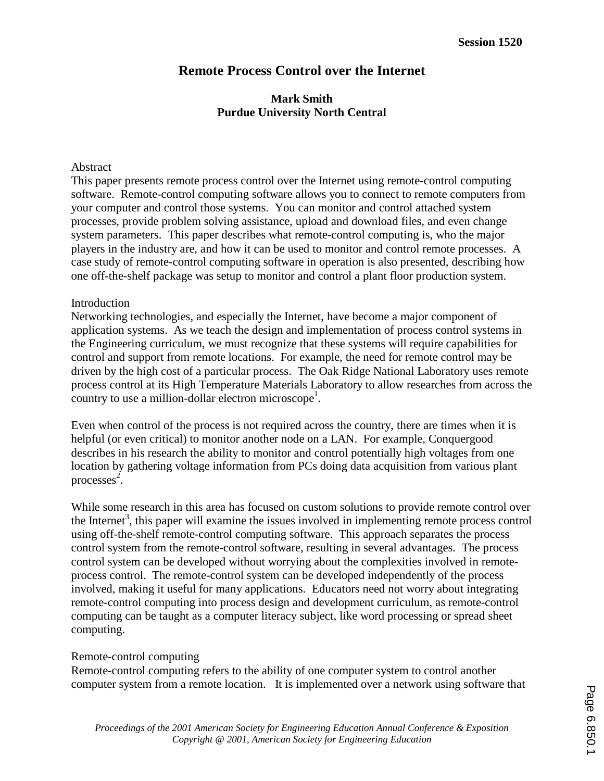# **Remote Process Control over the Internet**

## **Mark Smith Purdue University North Central**

#### Abstract

This paper presents remote process control over the Internet using remote-control computing software. Remote-control computing software allows you to connect to remote computers from your computer and control those systems. You can monitor and control attached system processes, provide problem solving assistance, upload and download files, and even change system parameters. This paper describes what remote-control computing is, who the major players in the industry are, and how it can be used to monitor and control remote processes. A case study of remote-control computing software in operation is also presented, describing how one off-the-shelf package was setup to monitor and control a plant floor production system.

#### Introduction

Networking technologies, and especially the Internet, have become a major component of application systems. As we teach the design and implementation of process control systems in the Engineering curriculum, we must recognize that these systems will require capabilities for control and support from remote locations. For example, the need for remote control may be driven by the high cost of a particular process. The Oak Ridge National Laboratory uses remote process control at its High Temperature Materials Laboratory to allow researches from across the country to use a million-dollar electron microscope<sup>1</sup>.

Even when control of the process is not required across the country, there are times when it is helpful (or even critical) to monitor another node on a LAN. For example, Conquergood describes in his research the ability to monitor and control potentially high voltages from one location by gathering voltage information from PCs doing data acquisition from various plant processes<sup>2</sup>.

While some research in this area has focused on custom solutions to provide remote control over the Internet<sup>3</sup>, this paper will examine the issues involved in implementing remote process control using off-the-shelf remote-control computing software. This approach separates the process control system from the remote-control software, resulting in several advantages. The process control system can be developed without worrying about the complexities involved in remoteprocess control. The remote-control system can be developed independently of the process involved, making it useful for many applications. Educators need not worry about integrating remote-control computing into process design and development curriculum, as remote-control computing can be taught as a computer literacy subject, like word processing or spread sheet computing.

### Remote-control computing

Remote-control computing refers to the ability of one computer system to control another computer system from a remote location. It is implemented over a network using software that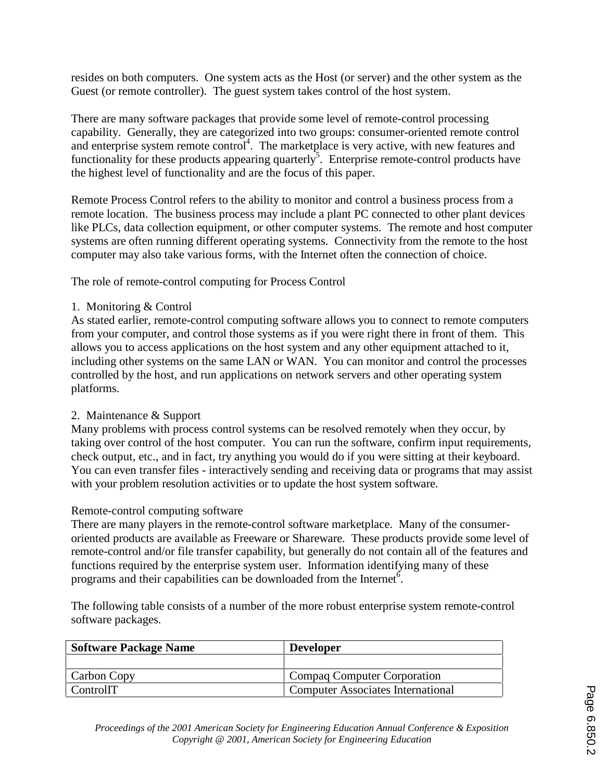resides on both computers. One system acts as the Host (or server) and the other system as the Guest (or remote controller). The guest system takes control of the host system.

There are many software packages that provide some level of remote-control processing capability. Generally, they are categorized into two groups: consumer-oriented remote control and enterprise system remote control<sup>4</sup>. The marketplace is very active, with new features and functionality for these products appearing quarterly<sup>5</sup>. Enterprise remote-control products have the highest level of functionality and are the focus of this paper.

Remote Process Control refers to the ability to monitor and control a business process from a remote location. The business process may include a plant PC connected to other plant devices like PLCs, data collection equipment, or other computer systems. The remote and host computer systems are often running different operating systems. Connectivity from the remote to the host computer may also take various forms, with the Internet often the connection of choice.

The role of remote-control computing for Process Control

1. Monitoring & Control

As stated earlier, remote-control computing software allows you to connect to remote computers from your computer, and control those systems as if you were right there in front of them. This allows you to access applications on the host system and any other equipment attached to it, including other systems on the same LAN or WAN. You can monitor and control the processes controlled by the host, and run applications on network servers and other operating system platforms.

### 2. Maintenance & Support

Many problems with process control systems can be resolved remotely when they occur, by taking over control of the host computer. You can run the software, confirm input requirements, check output, etc., and in fact, try anything you would do if you were sitting at their keyboard. You can even transfer files - interactively sending and receiving data or programs that may assist with your problem resolution activities or to update the host system software.

### Remote-control computing software

There are many players in the remote-control software marketplace. Many of the consumeroriented products are available as Freeware or Shareware. These products provide some level of remote-control and/or file transfer capability, but generally do not contain all of the features and functions required by the enterprise system user. Information identifying many of these programs and their capabilities can be downloaded from the Internet<sup>6</sup>.

The following table consists of a number of the more robust enterprise system remote-control software packages.

| <b>Software Package Name</b> | <b>Developer</b>                  |
|------------------------------|-----------------------------------|
|                              |                                   |
| Carbon Copy                  | Compaq Computer Corporation       |
| ControlIT                    | Computer Associates International |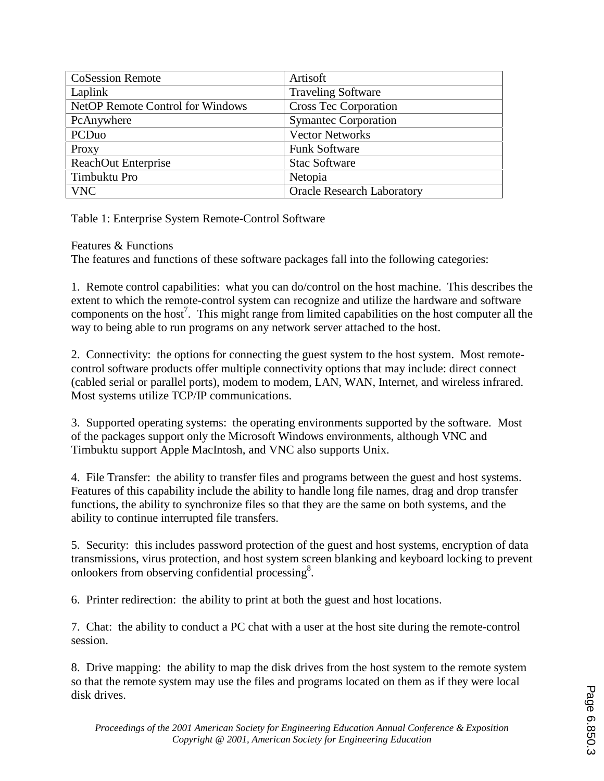| <b>CoSession Remote</b>                 | Artisoft                          |
|-----------------------------------------|-----------------------------------|
| Laplink                                 | <b>Traveling Software</b>         |
| <b>NetOP Remote Control for Windows</b> | <b>Cross Tec Corporation</b>      |
| PcAnywhere                              | <b>Symantec Corporation</b>       |
| PCDuo                                   | <b>Vector Networks</b>            |
| Proxy                                   | <b>Funk Software</b>              |
| <b>ReachOut Enterprise</b>              | <b>Stac Software</b>              |
| Timbuktu Pro                            | Netopia                           |
| <b>VNC</b>                              | <b>Oracle Research Laboratory</b> |

Table 1: Enterprise System Remote-Control Software

Features & Functions

The features and functions of these software packages fall into the following categories:

1. Remote control capabilities: what you can do/control on the host machine. This describes the extent to which the remote-control system can recognize and utilize the hardware and software components on the host<sup>7</sup>. This might range from limited capabilities on the host computer all the way to being able to run programs on any network server attached to the host.

2. Connectivity: the options for connecting the guest system to the host system. Most remotecontrol software products offer multiple connectivity options that may include: direct connect (cabled serial or parallel ports), modem to modem, LAN, WAN, Internet, and wireless infrared. Most systems utilize TCP/IP communications.

3. Supported operating systems: the operating environments supported by the software. Most of the packages support only the Microsoft Windows environments, although VNC and Timbuktu support Apple MacIntosh, and VNC also supports Unix.

4. File Transfer: the ability to transfer files and programs between the guest and host systems. Features of this capability include the ability to handle long file names, drag and drop transfer functions, the ability to synchronize files so that they are the same on both systems, and the ability to continue interrupted file transfers.

5. Security: this includes password protection of the guest and host systems, encryption of data transmissions, virus protection, and host system screen blanking and keyboard locking to prevent onlookers from observing confidential processing<sup>8</sup>.

6. Printer redirection: the ability to print at both the guest and host locations.

7. Chat: the ability to conduct a PC chat with a user at the host site during the remote-control session.

8. Drive mapping: the ability to map the disk drives from the host system to the remote system so that the remote system may use the files and programs located on them as if they were local disk drives.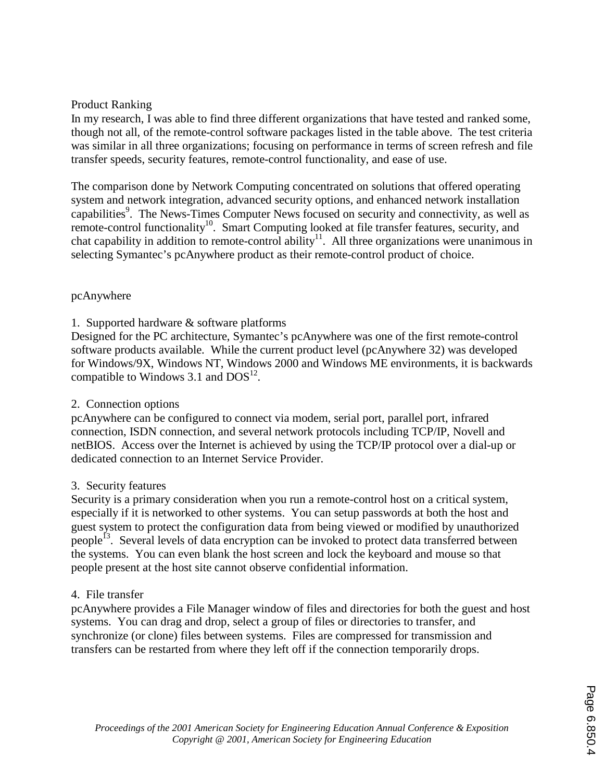### Product Ranking

In my research, I was able to find three different organizations that have tested and ranked some, though not all, of the remote-control software packages listed in the table above. The test criteria was similar in all three organizations; focusing on performance in terms of screen refresh and file transfer speeds, security features, remote-control functionality, and ease of use.

The comparison done by Network Computing concentrated on solutions that offered operating system and network integration, advanced security options, and enhanced network installation capabilities<sup>9</sup>. The News-Times Computer News focused on security and connectivity, as well as remote-control functionality<sup>10</sup>. Smart Computing looked at file transfer features, security, and chat capability in addition to remote-control ability<sup>11</sup>. All three organizations were unanimous in selecting Symantec's pcAnywhere product as their remote-control product of choice.

### pcAnywhere

1. Supported hardware & software platforms

Designed for the PC architecture, Symantec's pcAnywhere was one of the first remote-control software products available. While the current product level (pcAnywhere 32) was developed for Windows/9X, Windows NT, Windows 2000 and Windows ME environments, it is backwards compatible to Windows 3.1 and  $DOS<sup>12</sup>$ .

### 2. Connection options

pcAnywhere can be configured to connect via modem, serial port, parallel port, infrared connection, ISDN connection, and several network protocols including TCP/IP, Novell and netBIOS. Access over the Internet is achieved by using the TCP/IP protocol over a dial-up or dedicated connection to an Internet Service Provider.

### 3. Security features

Security is a primary consideration when you run a remote-control host on a critical system, especially if it is networked to other systems. You can setup passwords at both the host and guest system to protect the configuration data from being viewed or modified by unauthorized people<sup>13</sup>. Several levels of data encryption can be invoked to protect data transferred between the systems. You can even blank the host screen and lock the keyboard and mouse so that people present at the host site cannot observe confidential information.

### 4. File transfer

pcAnywhere provides a File Manager window of files and directories for both the guest and host systems. You can drag and drop, select a group of files or directories to transfer, and synchronize (or clone) files between systems. Files are compressed for transmission and transfers can be restarted from where they left off if the connection temporarily drops.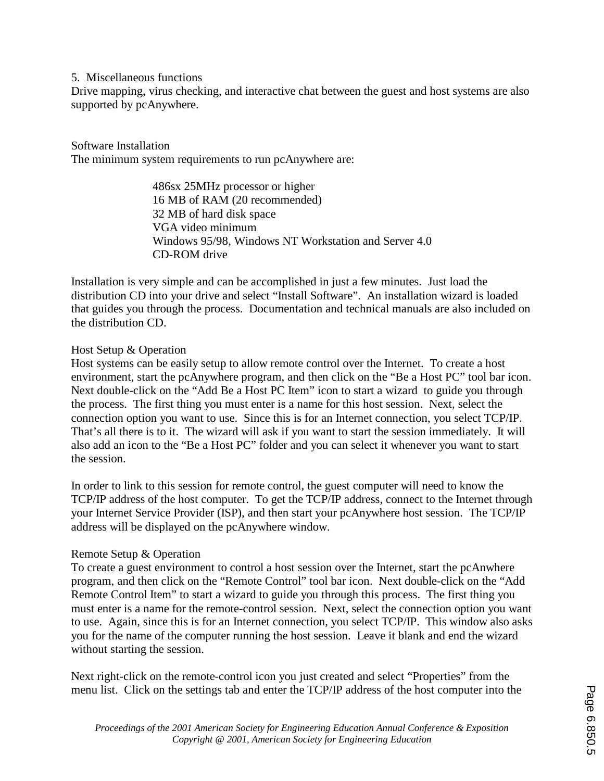#### 5. Miscellaneous functions

Drive mapping, virus checking, and interactive chat between the guest and host systems are also supported by pcAnywhere.

### Software Installation

The minimum system requirements to run pcAnywhere are:

 486sx 25MHz processor or higher 16 MB of RAM (20 recommended) 32 MB of hard disk space VGA video minimum Windows 95/98, Windows NT Workstation and Server 4.0 CD-ROM drive

Installation is very simple and can be accomplished in just a few minutes. Just load the distribution CD into your drive and select "Install Software". An installation wizard is loaded that guides you through the process. Documentation and technical manuals are also included on the distribution CD.

### Host Setup & Operation

Host systems can be easily setup to allow remote control over the Internet. To create a host environment, start the pcAnywhere program, and then click on the "Be a Host PC" tool bar icon. Next double-click on the "Add Be a Host PC Item" icon to start a wizard to guide you through the process. The first thing you must enter is a name for this host session. Next, select the connection option you want to use. Since this is for an Internet connection, you select TCP/IP. That's all there is to it. The wizard will ask if you want to start the session immediately. It will also add an icon to the "Be a Host PC" folder and you can select it whenever you want to start the session.

In order to link to this session for remote control, the guest computer will need to know the TCP/IP address of the host computer. To get the TCP/IP address, connect to the Internet through your Internet Service Provider (ISP), and then start your pcAnywhere host session. The TCP/IP address will be displayed on the pcAnywhere window.

### Remote Setup & Operation

To create a guest environment to control a host session over the Internet, start the pcAnwhere program, and then click on the "Remote Control" tool bar icon. Next double-click on the "Add Remote Control Item" to start a wizard to guide you through this process. The first thing you must enter is a name for the remote-control session. Next, select the connection option you want to use. Again, since this is for an Internet connection, you select TCP/IP. This window also asks you for the name of the computer running the host session. Leave it blank and end the wizard without starting the session.

Next right-click on the remote-control icon you just created and select "Properties" from the menu list. Click on the settings tab and enter the TCP/IP address of the host computer into the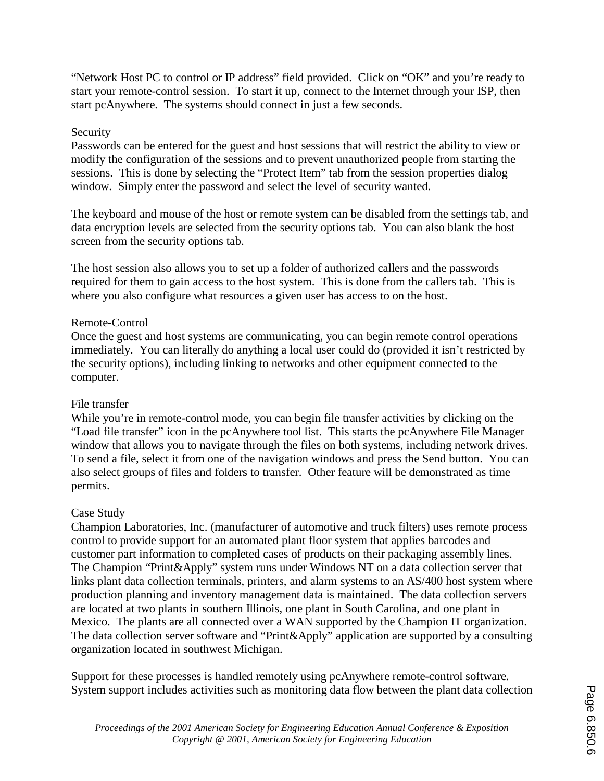"Network Host PC to control or IP address" field provided. Click on "OK" and you're ready to start your remote-control session. To start it up, connect to the Internet through your ISP, then start pcAnywhere. The systems should connect in just a few seconds.

### Security

Passwords can be entered for the guest and host sessions that will restrict the ability to view or modify the configuration of the sessions and to prevent unauthorized people from starting the sessions. This is done by selecting the "Protect Item" tab from the session properties dialog window. Simply enter the password and select the level of security wanted.

The keyboard and mouse of the host or remote system can be disabled from the settings tab, and data encryption levels are selected from the security options tab. You can also blank the host screen from the security options tab.

The host session also allows you to set up a folder of authorized callers and the passwords required for them to gain access to the host system. This is done from the callers tab. This is where you also configure what resources a given user has access to on the host.

### Remote-Control

Once the guest and host systems are communicating, you can begin remote control operations immediately. You can literally do anything a local user could do (provided it isn't restricted by the security options), including linking to networks and other equipment connected to the computer.

### File transfer

While you're in remote-control mode, you can begin file transfer activities by clicking on the "Load file transfer" icon in the pcAnywhere tool list. This starts the pcAnywhere File Manager window that allows you to navigate through the files on both systems, including network drives. To send a file, select it from one of the navigation windows and press the Send button. You can also select groups of files and folders to transfer. Other feature will be demonstrated as time permits.

### Case Study

Champion Laboratories, Inc. (manufacturer of automotive and truck filters) uses remote process control to provide support for an automated plant floor system that applies barcodes and customer part information to completed cases of products on their packaging assembly lines. The Champion "Print&Apply" system runs under Windows NT on a data collection server that links plant data collection terminals, printers, and alarm systems to an AS/400 host system where production planning and inventory management data is maintained. The data collection servers are located at two plants in southern Illinois, one plant in South Carolina, and one plant in Mexico. The plants are all connected over a WAN supported by the Champion IT organization. The data collection server software and "Print&Apply" application are supported by a consulting organization located in southwest Michigan.

Support for these processes is handled remotely using pcAnywhere remote-control software. System support includes activities such as monitoring data flow between the plant data collection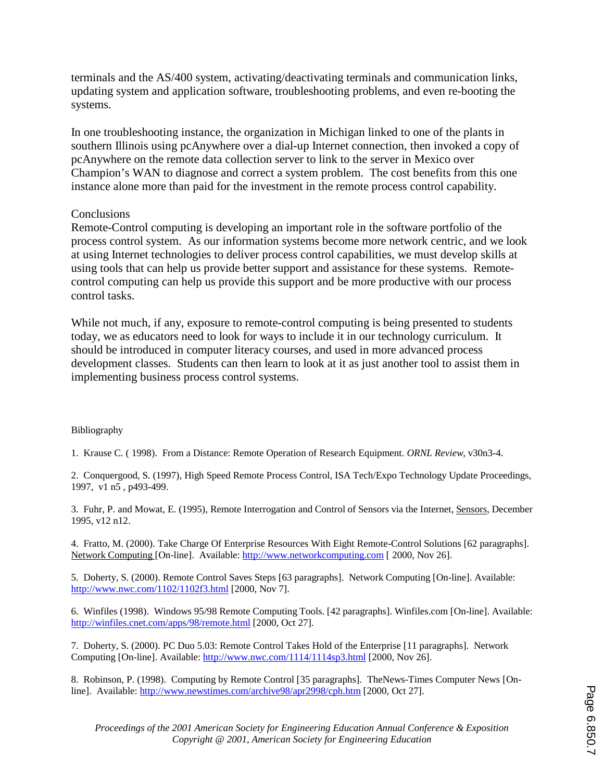terminals and the AS/400 system, activating/deactivating terminals and communication links, updating system and application software, troubleshooting problems, and even re-booting the systems.

In one troubleshooting instance, the organization in Michigan linked to one of the plants in southern Illinois using pcAnywhere over a dial-up Internet connection, then invoked a copy of pcAnywhere on the remote data collection server to link to the server in Mexico over Champion's WAN to diagnose and correct a system problem. The cost benefits from this one instance alone more than paid for the investment in the remote process control capability.

#### **Conclusions**

Remote-Control computing is developing an important role in the software portfolio of the process control system. As our information systems become more network centric, and we look at using Internet technologies to deliver process control capabilities, we must develop skills at using tools that can help us provide better support and assistance for these systems. Remotecontrol computing can help us provide this support and be more productive with our process control tasks.

While not much, if any, exposure to remote-control computing is being presented to students today, we as educators need to look for ways to include it in our technology curriculum. It should be introduced in computer literacy courses, and used in more advanced process development classes. Students can then learn to look at it as just another tool to assist them in implementing business process control systems.

#### Bibliography

1. Krause C. ( 1998). From a Distance: Remote Operation of Research Equipment. *ORNL Review,* v30n3-4.

2. Conquergood, S. (1997), High Speed Remote Process Control, ISA Tech/Expo Technology Update Proceedings, 1997, v1 n5 , p493-499.

3. Fuhr, P. and Mowat, E. (1995), Remote Interrogation and Control of Sensors via the Internet, Sensors, December 1995, v12 n12.

4. Fratto, M. (2000). Take Charge Of Enterprise Resources With Eight Remote-Control Solutions [62 paragraphs]. Network Computing [On-line]. Available: http://www.networkcomputing.com [ 2000, Nov 26].

5. Doherty, S. (2000). Remote Control Saves Steps [63 paragraphs]. Network Computing [On-line]. Available: http://www.nwc.com/1102/1102f3.html [2000, Nov 7].

6. Winfiles (1998). Windows 95/98 Remote Computing Tools. [42 paragraphs]. Winfiles.com [On-line]. Available: http://winfiles.cnet.com/apps/98/remote.html [2000, Oct 27].

7. Doherty, S. (2000). PC Duo 5.03: Remote Control Takes Hold of the Enterprise [11 paragraphs]. Network Computing [On-line]. Available: http://www.nwc.com/1114/1114sp3.html [2000, Nov 26].

8. Robinson, P. (1998). Computing by Remote Control [35 paragraphs]. TheNews-Times Computer News [Online]. Available: http://www.newstimes.com/archive98/apr2998/cph.htm [2000, Oct 27].